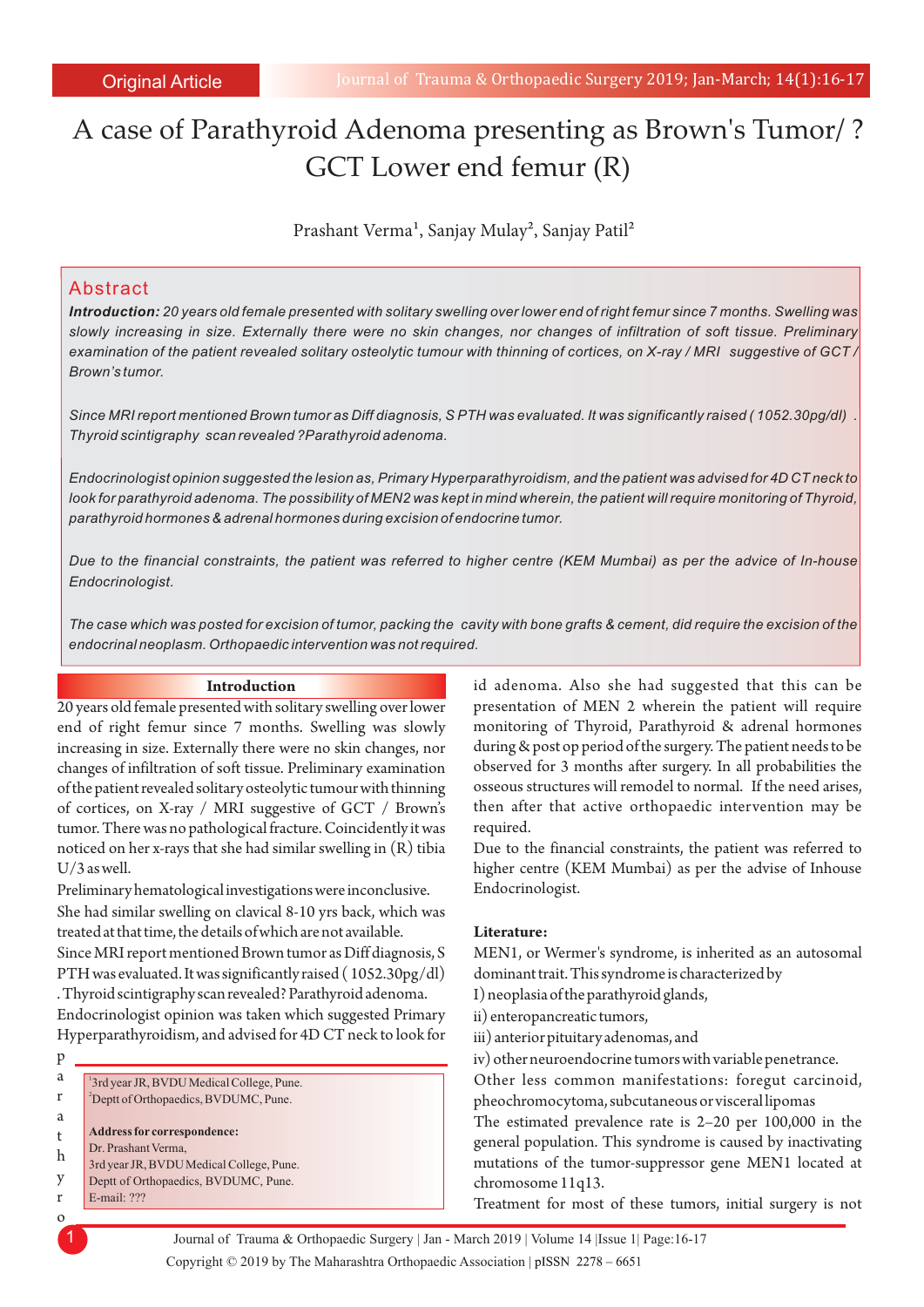# A case of Parathyroid Adenoma presenting as Brown's Tumor/ ? GCT Lower end femur (R)

Prashant Verma<sup>1</sup>, Sanjay Mulay<sup>2</sup>, Sanjay Patil<sup>2</sup>

## Abstract

*Introduction: 20 years old female presented with solitary swelling over lower end of right femur since 7 months. Swelling was slowly increasing in size. Externally there were no skin changes, nor changes of infiltration of soft tissue. Preliminary examination of the patient revealed solitary osteolytic tumour with thinning of cortices, on X-ray / MRI suggestive of GCT / Brown's tumor.*

*Since MRI report mentioned Brown tumor as Diff diagnosis, S PTH was evaluated. It was significantly raised ( 1052.30pg/dl) . Thyroid scintigraphy scan revealed ?Parathyroid adenoma.*

*Endocrinologist opinion suggested the lesion as, Primary Hyperparathyroidism, and the patient was advised for 4D CT neck to look for parathyroid adenoma. The possibility of MEN2 was kept in mind wherein, the patient will require monitoring of Thyroid, parathyroid hormones & adrenal hormones during excision of endocrine tumor.*

*Due to the financial constraints, the patient was referred to higher centre (KEM Mumbai) as per the advice of In-house Endocrinologist.*

*The case which was posted for excision of tumor, packing the cavity with bone grafts & cement, did require the excision of the endocrinal neoplasm. Orthopaedic intervention was not required.*

#### **Introduction**

20 years old female presented with solitary swelling over lower end of right femur since 7 months. Swelling was slowly increasing in size. Externally there were no skin changes, nor changes of infiltration of soft tissue. Preliminary examination of the patient revealed solitary osteolytic tumour with thinning of cortices, on X-ray / MRI suggestive of GCT / Brown's tumor. There was no pathological fracture. Coincidently it was noticed on her x-rays that she had similar swelling in (R) tibia U/3 as well.

She had similar swelling on clavical 8-10 yrs back, which was treated at that time, the details of which are not available. Preliminary hematological investigations were inconclusive.

Since MRI report mentioned Brown tumor as Diff diagnosis, S PTH was evaluated. It was significantly raised ( 1052.30pg/dl) . Thyroid scintigraphy scan revealed? Parathyroid adenoma. Endocrinologist opinion was taken which suggested Primary

Hyperparathyroidism, and advised for 4D CT neck to look for p

a r a t h y r o **Address for correspondence:**  <sup>2</sup>Deptt of Orthopaedics, BVDUMC, Pune. Dr. Prashant Verma, 3rd year JR, BVDU Medical College, Pune. Deptt of Orthopaedics, BVDUMC, Pune. E-mail: ??? 1 3rd year JR, BVDU Medical College, Pune. id adenoma. Also she had suggested that this can be presentation of MEN 2 wherein the patient will require monitoring of Thyroid, Parathyroid & adrenal hormones during & post op period of the surgery. The patient needs to be observed for 3 months after surgery. In all probabilities the osseous structures will remodel to normal. If the need arises, then after that active orthopaedic intervention may be required.

Due to the financial constraints, the patient was referred to higher centre (KEM Mumbai) as per the advise of Inhouse Endocrinologist.

#### **Literature:**

MEN1, or Wermer's syndrome, is inherited as an autosomal dominant trait. This syndrome is characterized by

I) neoplasia of the parathyroid glands,

- ii) enteropancreatic tumors,
- iii) anterior pituitary adenomas, and
- iv) other neuroendocrine tumors with variable penetrance.

Other less common manifestations: foregut carcinoid, pheochromocytoma, subcutaneous or visceral lipomas

The estimated prevalence rate is 2–20 per 100,000 in the general population. This syndrome is caused by inactivating mutations of the tumor-suppressor gene MEN1 located at chromosome 11q13.

Treatment for most of these tumors, initial surgery is not